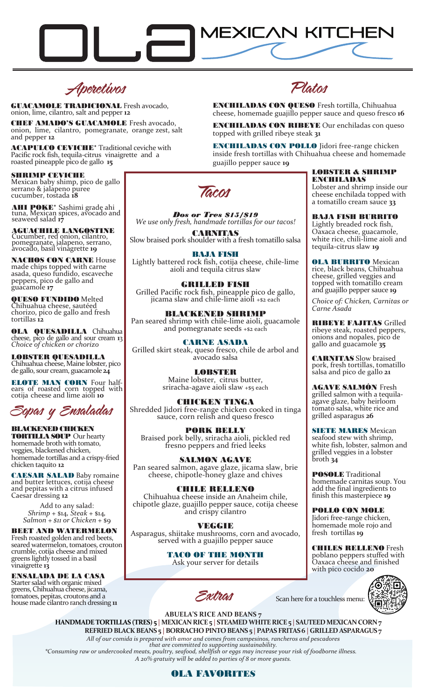

Aperetivos

GUACAMOLE TRADICIONAL Fresh avocado, onion, lime, cilantro, salt and pepper **12**

CHEF AMADO'S GUACAMOLE Fresh avocado, onion, lime, cilantro, pomegranate, orange zest, salt and pepper **12**

**ACAPULCO CEVICHE**<sup>\*</sup> Traditional ceviche with Pacific rock fish, tequila-citrus vinaigrette and a roasted pineapple pico de gallo **15**

SHRIMP CEVICHE Mexican baby shimp, pico de gallo serrano & jalapeno puree cucumber, tostada **18**

AHI POKE<sup>\*</sup> Sashimi grade ahi tuna, Mexican spices, avocado and seaweed salad **17**

AGUACHILE LANGOSTINE Cucumber, red onion, cilantro, pomegranate, jalapeno, serrano, avocado, basil vinagrette **19**

NACHOS CON CARNE House made chips topped with carne asada, queso fundido, escaveche peppers, pico de gallo and guacamole **17**

QUESO FUNDIDO Melted Chihuahua cheese, sautéed chorizo, pico de gallo and fresh tortillas **12**

OLA QUESADILLA Chihuahua cheese, pico de gallo and sour cream **1**3 *Choice of chicken or chorizo*

LOBSTER QUESADILLA Chihuahua cheese, Maine lobster, pico de gallo, sour cream, guacamole **24**

**ELOTE MAN CORN** Four halfears of roasted corn topped with cotija cheese and lime aioli **10**

Sopas y Ensaladas

#### BLACKENED CHICKEN **TORTILLA SOUP** Our hearty

homemade broth with tomato, veggies, blackened chicken, homemade tortillas and a crispy-fried chicken taquito **12**

CAESAR SALAD Baby romaine and butter lettuces, cotija cheese and pepitas with a citrus infused Caesar dressing **12**

> Add to any salad: *Shrimp* + \$14*, Steak* + \$14*, Salmon + \$11 or Chicken* + \$9

BEET AND WATERMELON Fresh roasted golden and red beets, seared watermelon, tomatoes, crouton crumble, cotija cheese and mixed greens lightly tossed in a basil vinaigrette **13**

#### ENSALADA DE LA CASA

Starter salad with organic mixed greens, Chihuahua cheese, jicama, tomatoes, pepitas, croutons and a house made cilantro ranch dressing **11** Platos

ENCHILADAS CON QUESO Fresh tortilla, Chihuahua cheese, homemade guajillo pepper sauce and queso fresco **16**

ENCHILADAS CON RIBEYE Our enchiladas con queso topped with grilled ribeye steak **31**

ENCHILADAS CON POLLO Jidori free-range chicken inside fresh tortillas with Chihuahua cheese and homemade guajillo pepper sauce **19**



*Dos or Tres \$15/\$19 We use only fresh, handmade tortillas for our tacos!*

CARNITAS Slow braised pork shoulder with a fresh tomatillo salsa

BAJA FISH Lightly battered rock fish, cotija cheese, chile-lime aioli and tequila citrus slaw

GRILLED FISH Grilled Pacific rock fish, pineapple pico de gallo, jicama slaw and chile-lime aioli +\$2 each

BLACKENED SHRIMP Pan seared shrimp with chile-lime aioli, guacamole and pomegranate seeds  $+$ \$2 each

CARNE ASADA Grilled skirt steak, queso fresco, chile de arbol and avocado salsa

> LOBSTER Maine lobster, citrus butter, sriracha-agave aioli slaw +\$5 each

CHICKEN TINGA Shredded Jidori free-range chicken cooked in tinga sauce, corn relish and queso fresco

PORK BELLY Braised pork belly, sriracha aioli, pickled red fresno peppers and fried leeks

SALMON AGAVE Pan seared salmon, agave glaze, jicama slaw, brie cheese, chipotle-honey glaze and chives

#### CHILLER RELLENO Chihuahua cheese inside an Anaheim chile, chipotle glaze, guajillo pepper sauce, cotija cheese and crispy cilantro

VEGHIE Asparagus, shiitake mushrooms, corn and avocado, served with a guajillo pepper sauce

> TACO OF THE MONTH Ask your server for details

LOBSTER & SHRIMP ENCHILADAS

Lobster and shrimp inside our cheese enchilada topped with a tomatillo cream sauce **33**

BAJA FISH BURRITO

Lightly breaded rock fish, Oaxaca cheese, guacamole, white rice, chili-lime aioli and tequila-citrus slaw **19**

OLA BURRITO Mexican rice, black beans, Chihuahua cheese, grilled veggies and topped with tomatillo cream and guajillo pepper sauce **19**

*Choice of: Chicken, Carnitas or Carne Asada*

RIBEYE FAJITAS Grilled ribeye steak, roasted peppers, onions and nopales, pico de gallo and guacamole **35**

CARNITAS Slow braised pork, fresh tortillas, tomatillo salsa and pico de gallo **21**

AGAVE SALMÓN Fresh grilled salmon with a tequilaagave glaze, baby heirloom tomato salsa, white rice and grilled asparagus **26**

**SIETE MARES** Mexican seafood stew with shrimp, white fish, lobster, salmon and grilled veggies in a lobster broth **34**

POSOLE Traditional homemade carnitas soup. You add the final ingredients to finish this masterpiece **19**

POLLO CON MOLE Jidori free-range chicken, homemade mole rojo and fresh tortillas **19**

CHILES RELLENO Fresh poblano peppers stuffed with Oaxaca cheese and finished with pico cocido **20**



Scan here for a touchless menu:

**ABUELA'S RICE AND BEANS 7**

Extras

 **HANDMADE TORTILLAS (TRES) 5 |MEXICAN RICE 5 | STEAMEDWHITE RICE5 | SAUTEED MEXICAN CORN 7 REFRIEDBLACK BEANS 5 |BORRACHO PINTO BEANS 5 |PAPAS FRITAS 6 | GRILLED ASPARAGUS 7**

*All of our comida is prepared with amor and comes from campesinos, rancheros and pescadores that are committed to supporting sustainability.*

*\*Consuming raw or undercooked meats, poultry, seafood, shellfish or eggs may increase your risk of foodborne illness. A 20% gratuity will be added to parties of 8 or more guests.*